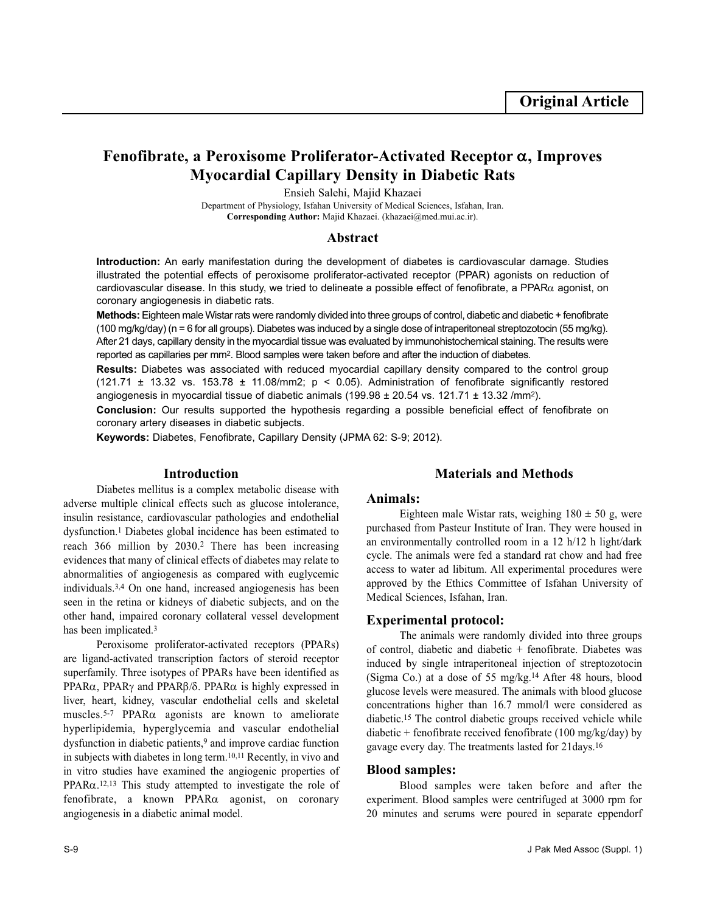# **Fenofibrate, a Peroxisome Proliferator-Activated Receptor** α**, Improves Myocardial Capillary Density in Diabetic Rats**

Ensieh Salehi, Majid Khazaei

Department of Physiology, Isfahan University of Medical Sciences, Isfahan, Iran. **Corresponding Author:** Majid Khazaei. (khazaei@med.mui.ac.ir).

# **Abstract**

**Introduction:** An early manifestation during the development of diabetes is cardiovascular damage. Studies illustrated the potential effects of peroxisome proliferator-activated receptor (PPAR) agonists on reduction of cardiovascular disease. In this study, we tried to delineate a possible effect of fenofibrate, a PPARα agonist, on coronary angiogenesis in diabetic rats.

**Methods:** Eighteen male Wistar rats were randomly divided into three groups of control, diabetic and diabetic + fenofibrate (100 mg/kg/day) (n = 6 for all groups). Diabetes was induced by a single dose of intraperitoneal streptozotocin (55 mg/kg). After 21 days, capillary density in the myocardial tissue was evaluated by immunohistochemical staining. The results were reported as capillaries per mm2. Blood samples were taken before and after the induction of diabetes.

**Results:** Diabetes was associated with reduced myocardial capillary density compared to the control group (121.71  $\pm$  13.32 vs. 153.78  $\pm$  11.08/mm2; p < 0.05). Administration of fenofibrate significantly restored angiogenesis in myocardial tissue of diabetic animals (199.98 ± 20.54 vs. 121.71 ± 13.32 /mm2).

**Conclusion:** Our results supported the hypothesis regarding a possible beneficial effect of fenofibrate on coronary artery diseases in diabetic subjects.

**Keywords:** Diabetes, Fenofibrate, Capillary Density (JPMA 62: S-9; 2012).

# **Introduction**

Diabetes mellitus is a complex metabolic disease with adverse multiple clinical effects such as glucose intolerance, insulin resistance, cardiovascular pathologies and endothelial dysfunction.<sup>1</sup> Diabetes global incidence has been estimated to reach 366 million by 2030.<sup>2</sup> There has been increasing evidences that many of clinical effects of diabetes may relate to abnormalities of angiogenesis as compared with euglycemic individuals.3,4 On one hand, increased angiogenesis has been seen in the retina or kidneys of diabetic subjects, and on the other hand, impaired coronary collateral vessel development has been implicated.<sup>3</sup>

Peroxisome proliferator-activated receptors (PPARs) are ligand-activated transcription factors of steroid receptor superfamily. Three isotypes of PPARs have been identified as PPARα, PPARγ and PPAR $β/δ$ . PPARα is highly expressed in liver, heart, kidney, vascular endothelial cells and skeletal muscles.5-7 PPARα agonists are known to ameliorate hyperlipidemia, hyperglycemia and vascular endothelial dysfunction in diabetic patients,<sup>9</sup> and improve cardiac function in subjects with diabetes in long term.10,11 Recently, in vivo and in vitro studies have examined the angiogenic properties of PPAR $\alpha$ .<sup>12,13</sup> This study attempted to investigate the role of fenofibrate, a known PPARα agonist, on coronary angiogenesis in a diabetic animal model.

## **Materials and Methods**

## **Animals:**

Eighteen male Wistar rats, weighing  $180 \pm 50$  g, were purchased from Pasteur Institute of Iran. They were housed in an environmentally controlled room in a 12 h/12 h light/dark cycle. The animals were fed a standard rat chow and had free access to water ad libitum. All experimental procedures were approved by the Ethics Committee of Isfahan University of Medical Sciences, Isfahan, Iran.

## **Experimental protocol:**

The animals were randomly divided into three groups of control, diabetic and diabetic + fenofibrate. Diabetes was induced by single intraperitoneal injection of streptozotocin (Sigma Co.) at a dose of 55 mg/kg.<sup>14</sup> After 48 hours, blood glucose levels were measured. The animals with blood glucose concentrations higher than 16.7 mmol/l were considered as diabetic.<sup>15</sup> The control diabetic groups received vehicle while diabetic + fenofibrate received fenofibrate (100 mg/kg/day) by gavage every day. The treatments lasted for 21days.<sup>16</sup>

#### **Blood samples:**

Blood samples were taken before and after the experiment. Blood samples were centrifuged at 3000 rpm for 20 minutes and serums were poured in separate eppendorf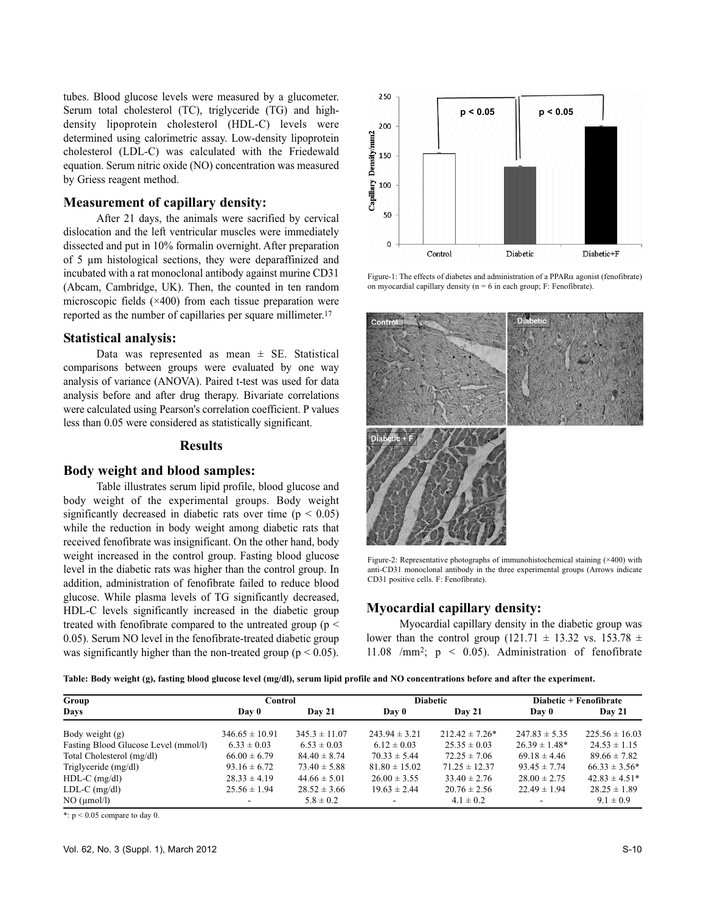tubes. Blood glucose levels were measured by a glucometer. Serum total cholesterol (TC), triglyceride (TG) and highdensity lipoprotein cholesterol (HDL-C) levels were determined using calorimetric assay. Low-density lipoprotein cholesterol (LDL-C) was calculated with the Friedewald equation. Serum nitric oxide (NO) concentration was measured by Griess reagent method.

# **Measurement of capillary density:**

After 21 days, the animals were sacrified by cervical dislocation and the left ventricular muscles were immediately dissected and put in 10% formalin overnight. After preparation of 5 µm histological sections, they were deparaffinized and incubated with a rat monoclonal antibody against murine CD31 (Abcam, Cambridge, UK). Then, the counted in ten random microscopic fields (×400) from each tissue preparation were reported as the number of capillaries per square millimeter.<sup>17</sup>

#### **Statistical analysis:**

Data was represented as mean  $\pm$  SE. Statistical comparisons between groups were evaluated by one way analysis of variance (ANOVA). Paired t-test was used for data analysis before and after drug therapy. Bivariate correlations were calculated using Pearson's correlation coefficient. P values less than 0.05 were considered as statistically significant.

#### **Results**

### **Body weight and blood samples:**

Table illustrates serum lipid profile, blood glucose and body weight of the experimental groups. Body weight significantly decreased in diabetic rats over time ( $p < 0.05$ ) while the reduction in body weight among diabetic rats that received fenofibrate was insignificant. On the other hand, body weight increased in the control group. Fasting blood glucose level in the diabetic rats was higher than the control group. In addition, administration of fenofibrate failed to reduce blood glucose. While plasma levels of TG significantly decreased, HDL-C levels significantly increased in the diabetic group treated with fenofibrate compared to the untreated group ( $p <$ 0.05). Serum NO level in the fenofibrate-treated diabetic group was significantly higher than the non-treated group ( $p < 0.05$ ).



Figure-1: The effects of diabetes and administration of a PPARα agonist (fenofibrate) on myocardial capillary density ( $n = 6$  in each group; F: Fenofibrate).



Figure-2: Representative photographs of immunohistochemical staining  $(\times 400)$  with anti-CD31 monoclonal antibody in the three experimental groups (Arrows indicate CD31 positive cells. F: Fenofibrate).

# **Myocardial capillary density:**

Myocardial capillary density in the diabetic group was lower than the control group (121.71  $\pm$  13.32 vs. 153.78  $\pm$ 11.08 /mm<sup>2</sup>; p < 0.05). Administration of fenofibrate

**Table: Body weight (g), fasting blood glucose level (mg/dl), serum lipid profile and NO concentrations before and after the experiment.**

| Group<br>Days                        | Control            |                   | <b>Diabetic</b>   |                     | Diabetic + Fenofibrate |                    |
|--------------------------------------|--------------------|-------------------|-------------------|---------------------|------------------------|--------------------|
|                                      | Day 0              | Day 21            | Day 0             | Day 21              | Day 0                  | <b>Day 21</b>      |
| Body weight $(g)$                    | $346.65 \pm 10.91$ | $345.3 \pm 11.07$ | $243.94 \pm 3.21$ | $212.42 \pm 7.26^*$ | $247.83 \pm 5.35$      | $225.56 \pm 16.03$ |
| Fasting Blood Glucose Level (mmol/l) | $6.33 \pm 0.03$    | $6.53 \pm 0.03$   | $6.12 \pm 0.03$   | $25.35 \pm 0.03$    | $26.39 \pm 1.48*$      | $24.53 \pm 1.15$   |
| Total Cholesterol (mg/dl)            | $66.00 \pm 6.79$   | $84.40 \pm 8.74$  | $70.33 \pm 5.44$  | $72.25 \pm 7.06$    | $69.18 \pm 4.46$       | $89.66 \pm 7.82$   |
| Triglyceride (mg/dl)                 | $93.16 \pm 6.72$   | $73.40 \pm 5.88$  | $81.80 \pm 15.02$ | $71.25 \pm 12.37$   | $93.45 \pm 7.74$       | $66.33 \pm 3.56*$  |
| $HDL-C$ (mg/dl)                      | $28.33 \pm 4.19$   | $44.66 \pm 5.01$  | $26.00 \pm 3.55$  | $33.40 \pm 2.76$    | $28.00 \pm 2.75$       | $42.83 \pm 4.51*$  |
| $LDL-C$ (mg/dl)                      | $25.56 \pm 1.94$   | $28.52 \pm 3.66$  | $19.63 \pm 2.44$  | $20.76 \pm 2.56$    | $22.49 \pm 1.94$       | $28.25 \pm 1.89$   |
| NO (µmol/l)                          |                    | $5.8 \pm 0.2$     |                   | $4.1 \pm 0.2$       |                        | $9.1 \pm 0.9$      |

\*:  $p < 0.05$  compare to day 0.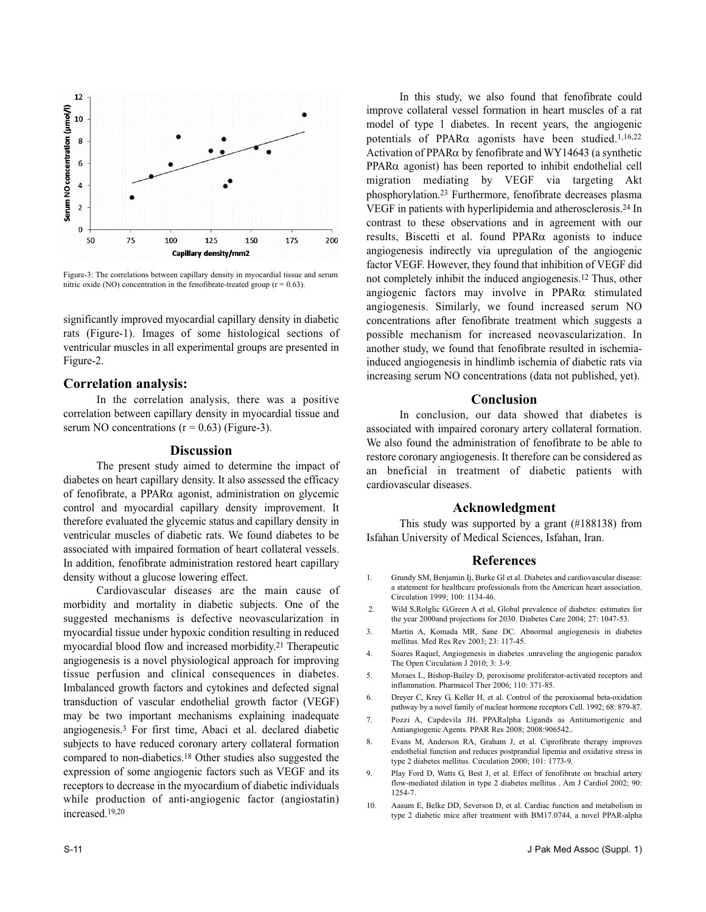

Figure-3: The correlations between capillary density in myocardial tissue and serum nitric oxide (NO) concentration in the fenofibrate-treated group ( $r = 0.63$ ).

significantly improved myocardial capillary density in diabetic rats (Figure-1). Images of some histological sections of ventricular muscles in all experimental groups are presented in Figure-2.

# **Correlation analysis:**

In the correlation analysis, there was a positive correlation between capillary density in myocardial tissue and serum NO concentrations  $(r = 0.63)$  (Figure-3).

## **Discussion**

The present study aimed to determine the impact of diabetes on heart capillary density. It also assessed the efficacy of fenofibrate, a PPARα agonist, administration on glycemic control and myocardial capillary density improvement. It therefore evaluated the glycemic status and capillary density in ventricular muscles of diabetic rats. We found diabetes to be associated with impaired formation of heart collateral vessels. In addition, fenofibrate administration restored heart capillary density without a glucose lowering effect.

Cardiovascular diseases are the main cause of morbidity and mortality in diabetic subjects. One of the suggested mechanisms is defective neovascularization in myocardial tissue under hypoxic condition resulting in reduced myocardial blood flow and increased morbidity.<sup>21</sup> Therapeutic angiogenesis is a novel physiological approach for improving tissue perfusion and clinical consequences in diabetes. Imbalanced growth factors and cytokines and defected signal transduction of vascular endothelial growth factor (VEGF) may be two important mechanisms explaining inadequate angiogenesis.<sup>3</sup> For first time, Abaci et al. declared diabetic subjects to have reduced coronary artery collateral formation compared to non-diabetics.<sup>18</sup> Other studies also suggested the expression of some angiogenic factors such as VEGF and its receptors to decrease in the myocardium of diabetic individuals while production of anti-angiogenic factor (angiostatin) increased.19,20

In this study, we also found that fenofibrate could improve collateral vessel formation in heart muscles of a rat model of type 1 diabetes. In recent years, the angiogenic potentials of PPAR $\alpha$  agonists have been studied.<sup>1,16,22</sup> Activation of PPARα by fenofibrate and WY14643 (a synthetic PPARα agonist) has been reported to inhibit endothelial cell migration mediating by VEGF via targeting Akt phosphorylation.<sup>23</sup> Furthermore, fenofibrate decreases plasma VEGF in patients with hyperlipidemia and atherosclerosis.<sup>24</sup> In contrast to these observations and in agreement with our results, Biscetti et al. found PPARα agonists to induce angiogenesis indirectly via upregulation of the angiogenic factor VEGF. However, they found that inhibition of VEGF did not completely inhibit the induced angiogenesis.<sup>12</sup> Thus, other angiogenic factors may involve in PPARα stimulated angiogenesis. Similarly, we found increased serum NO concentrations after fenofibrate treatment which suggests a possible mechanism for increased neovascularization. In another study, we found that fenofibrate resulted in ischemiainduced angiogenesis in hindlimb ischemia of diabetic rats via increasing serum NO concentrations (data not published, yet).

# **Conclusion**

In conclusion, our data showed that diabetes is associated with impaired coronary artery collateral formation. We also found the administration of fenofibrate to be able to restore coronary angiogenesis. It therefore can be considered as an bneficial in treatment of diabetic patients with cardiovascular diseases.

## **Acknowledgment**

This study was supported by a grant (#188138) from Isfahan University of Medical Sciences, Isfahan, Iran.

#### **References**

- 1. Grundy SM, Benjamin Ij, Burke Gl et al. Diabetes and cardiovascular disease: a statement for healthcare professionals from the American heart association. Circulation 1999; 100: 1134-46.
- 2. Wild S,Rolglic G,Green A et al, Global prevalence of diabetes: estimates for the year 2000and projections for 2030. Diabetes Care 2004; 27: 1047-53.
- 3. Martin A, Komada MR, Sane DC. Abnormal angiogenesis in diabetes mellitus. Med Res Rev 2003; 23: 117-45.
- 4. Soares Raquel, Angiogenesis in diabetes .unraveling the angiogenic paradox The Open Circulation J 2010; 3: 3-9.
- 5. Moraes L, Bishop-Bailey D, peroxisome proliferator-activated receptors and inflammation. Pharmacol Ther 2006; 110: 371-85.
- 6. Dreyer C, Krey G, Keller H, et al. Control of the peroxisomal beta-oxidation pathway by a novel family of nuclear hormone receptors Cell. 1992; 68: 879-87.
- 7. Pozzi A, Capdevila JH. PPARalpha Ligands as Antitumorigenic and Antiangiogenic Agents. PPAR Res 2008; 2008:906542..
- 8. Evans M, Anderson RA, Graham J, et al. Ciprofibrate therapy improves endothelial function and reduces postprandial lipemia and oxidative stress in type 2 diabetes mellitus. Circulation 2000; 101: 1773-9.
- 9. Play Ford D, Watts G, Best J, et al. Effect of fenofibrate on brachial artery flow-mediated dilation in type 2 diabetes mellitus . Am J Cardiol 2002; 90: 1254-7.
- 10. Aasum E, Belke DD, Severson D, et al. Cardiac function and metabolism in type 2 diabetic mice after treatment with BM17.0744, a novel PPAR-alpha